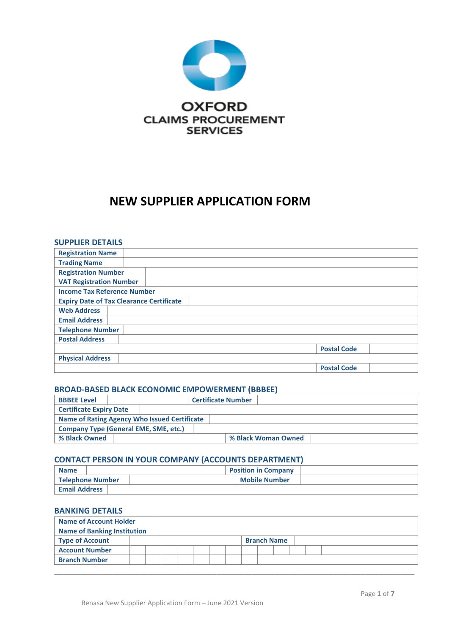

# **NEW SUPPLIER APPLICATION FORM**

# **SUPPLIER DETAILS**

| <b>Registration Name</b>                        |                    |
|-------------------------------------------------|--------------------|
| <b>Trading Name</b>                             |                    |
| <b>Registration Number</b>                      |                    |
| <b>VAT Registration Number</b>                  |                    |
| <b>Income Tax Reference Number</b>              |                    |
| <b>Expiry Date of Tax Clearance Certificate</b> |                    |
| <b>Web Address</b>                              |                    |
| <b>Email Address</b>                            |                    |
| <b>Telephone Number</b>                         |                    |
| <b>Postal Address</b>                           |                    |
|                                                 | <b>Postal Code</b> |
| <b>Physical Address</b>                         |                    |
|                                                 | <b>Postal Code</b> |

## **BROAD-BASED BLACK ECONOMIC EMPOWERMENT (BBBEE)**

| <b>BBBEE Level</b>                                  |  | <b>Certificate Number</b> |                     |  |
|-----------------------------------------------------|--|---------------------------|---------------------|--|
| <sup>1</sup> Certificate Expiry Date                |  |                           |                     |  |
| <b>Name of Rating Agency Who Issued Certificate</b> |  |                           |                     |  |
| <b>Company Type (General EME, SME, etc.)</b>        |  |                           |                     |  |
| % Black Owned                                       |  |                           | % Black Woman Owned |  |

# **CONTACT PERSON IN YOUR COMPANY (ACCOUNTS DEPARTMENT)**

| ' Name               | <b>Position in Company</b> |  |
|----------------------|----------------------------|--|
| l Telephone Number   | <b>Mobile Number</b>       |  |
| <b>Email Address</b> |                            |  |

# **BANKING DETAILS**

| <b>Name of Account Holder</b>      |  |  |  |  |                    |  |  |  |  |  |  |  |
|------------------------------------|--|--|--|--|--------------------|--|--|--|--|--|--|--|
| <b>Name of Banking Institution</b> |  |  |  |  |                    |  |  |  |  |  |  |  |
| <b>Type of Account</b>             |  |  |  |  | <b>Branch Name</b> |  |  |  |  |  |  |  |
| <b>Account Number</b>              |  |  |  |  |                    |  |  |  |  |  |  |  |
| <b>Branch Number</b>               |  |  |  |  |                    |  |  |  |  |  |  |  |

\_\_\_\_\_\_\_\_\_\_\_\_\_\_\_\_\_\_\_\_\_\_\_\_\_\_\_\_\_\_\_\_\_\_\_\_\_\_\_\_\_\_\_\_\_\_\_\_\_\_\_\_\_\_\_\_\_\_\_\_\_\_\_\_\_\_\_\_\_\_\_\_\_\_\_\_\_\_\_\_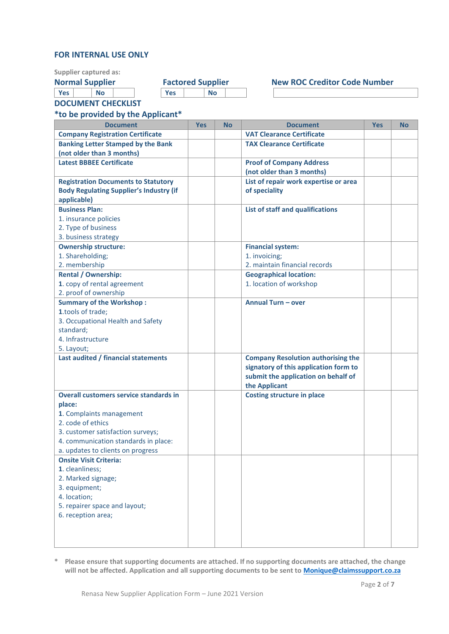# **FOR INTERNAL USE ONLY**

| <b>Supplier captured as:</b>                         |            |                          |           |                                           |            |           |
|------------------------------------------------------|------------|--------------------------|-----------|-------------------------------------------|------------|-----------|
| <b>Normal Supplier</b>                               |            | <b>Factored Supplier</b> |           | <b>New ROC Creditor Code Number</b>       |            |           |
| <b>Yes</b><br><b>No</b>                              | <b>Yes</b> | <b>No</b>                |           |                                           |            |           |
| <b>DOCUMENT CHECKLIST</b>                            |            |                          |           |                                           |            |           |
| *to be provided by the Applicant*                    |            |                          |           |                                           |            |           |
| <b>Document</b>                                      |            | <b>Yes</b>               | <b>No</b> | <b>Document</b>                           | <b>Yes</b> | <b>No</b> |
| <b>Company Registration Certificate</b>              |            |                          |           | <b>VAT Clearance Certificate</b>          |            |           |
| <b>Banking Letter Stamped by the Bank</b>            |            |                          |           | <b>TAX Clearance Certificate</b>          |            |           |
| (not older than 3 months)                            |            |                          |           |                                           |            |           |
| <b>Latest BBBEE Certificate</b>                      |            |                          |           | <b>Proof of Company Address</b>           |            |           |
|                                                      |            |                          |           | (not older than 3 months)                 |            |           |
| <b>Registration Documents to Statutory</b>           |            |                          |           | List of repair work expertise or area     |            |           |
| <b>Body Regulating Supplier's Industry (if</b>       |            |                          |           | of speciality                             |            |           |
| applicable)                                          |            |                          |           |                                           |            |           |
| <b>Business Plan:</b>                                |            |                          |           | List of staff and qualifications          |            |           |
| 1. insurance policies                                |            |                          |           |                                           |            |           |
| 2. Type of business                                  |            |                          |           |                                           |            |           |
| 3. business strategy                                 |            |                          |           |                                           |            |           |
| <b>Ownership structure:</b>                          |            |                          |           | <b>Financial system:</b>                  |            |           |
| 1. Shareholding;                                     |            |                          |           | 1. invoicing;                             |            |           |
| 2. membership                                        |            |                          |           | 2. maintain financial records             |            |           |
| Rental / Ownership:                                  |            |                          |           | <b>Geographical location:</b>             |            |           |
| 1. copy of rental agreement                          |            |                          |           | 1. location of workshop                   |            |           |
| 2. proof of ownership                                |            |                          |           | <b>Annual Turn - over</b>                 |            |           |
| <b>Summary of the Workshop:</b><br>1.tools of trade; |            |                          |           |                                           |            |           |
| 3. Occupational Health and Safety                    |            |                          |           |                                           |            |           |
| standard;                                            |            |                          |           |                                           |            |           |
| 4. Infrastructure                                    |            |                          |           |                                           |            |           |
| 5. Layout;                                           |            |                          |           |                                           |            |           |
| Last audited / financial statements                  |            |                          |           | <b>Company Resolution authorising the</b> |            |           |
|                                                      |            |                          |           | signatory of this application form to     |            |           |
|                                                      |            |                          |           | submit the application on behalf of       |            |           |
|                                                      |            |                          |           | the Applicant                             |            |           |
| <b>Overall customers service standards in</b>        |            |                          |           | <b>Costing structure in place</b>         |            |           |
| place:                                               |            |                          |           |                                           |            |           |
| 1. Complaints management                             |            |                          |           |                                           |            |           |
| 2. code of ethics                                    |            |                          |           |                                           |            |           |
| 3. customer satisfaction surveys;                    |            |                          |           |                                           |            |           |
| 4. communication standards in place:                 |            |                          |           |                                           |            |           |
| a. updates to clients on progress                    |            |                          |           |                                           |            |           |
| <b>Onsite Visit Criteria:</b>                        |            |                          |           |                                           |            |           |
| 1. cleanliness;                                      |            |                          |           |                                           |            |           |
| 2. Marked signage;<br>3. equipment;                  |            |                          |           |                                           |            |           |
| 4. location;                                         |            |                          |           |                                           |            |           |
| 5. repairer space and layout;                        |            |                          |           |                                           |            |           |
| 6. reception area;                                   |            |                          |           |                                           |            |           |
|                                                      |            |                          |           |                                           |            |           |
|                                                      |            |                          |           |                                           |            |           |
|                                                      |            |                          |           |                                           |            |           |

**\* Please ensure that supporting documents are attached. If no supporting documents are attached, the change will not be affected. Application and all supporting documents to be sent to [Monique@claimssupport.co.za](mailto:Monique@claimssupport.co.za)**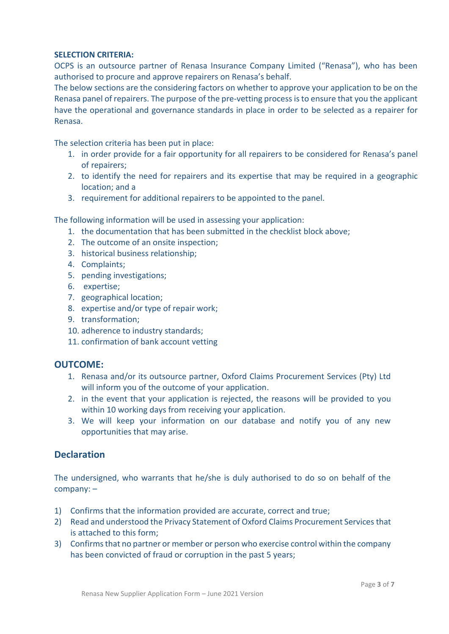# **SELECTION CRITERIA:**

OCPS is an outsource partner of Renasa Insurance Company Limited ("Renasa"), who has been authorised to procure and approve repairers on Renasa's behalf.

The below sections are the considering factors on whether to approve your application to be on the Renasa panel of repairers. The purpose of the pre-vetting process is to ensure that you the applicant have the operational and governance standards in place in order to be selected as a repairer for Renasa.

The selection criteria has been put in place:

- 1. in order provide for a fair opportunity for all repairers to be considered for Renasa's panel of repairers;
- 2. to identify the need for repairers and its expertise that may be required in a geographic location; and a
- 3. requirement for additional repairers to be appointed to the panel.

The following information will be used in assessing your application:

- 1. the documentation that has been submitted in the checklist block above;
- 2. The outcome of an onsite inspection;
- 3. historical business relationship;
- 4. Complaints;
- 5. pending investigations;
- 6. expertise;
- 7. geographical location;
- 8. expertise and/or type of repair work;
- 9. transformation;
- 10. adherence to industry standards;
- 11. confirmation of bank account vetting

# **OUTCOME:**

- 1. Renasa and/or its outsource partner, Oxford Claims Procurement Services (Pty) Ltd will inform you of the outcome of your application.
- 2. in the event that your application is rejected, the reasons will be provided to you within 10 working days from receiving your application.
- 3. We will keep your information on our database and notify you of any new opportunities that may arise.

# **Declaration**

The undersigned, who warrants that he/she is duly authorised to do so on behalf of the company: –

- 1) Confirms that the information provided are accurate, correct and true;
- 2) Read and understood the Privacy Statement of Oxford Claims Procurement Services that is attached to this form;
- 3) Confirms that no partner or member or person who exercise control within the company has been convicted of fraud or corruption in the past 5 years;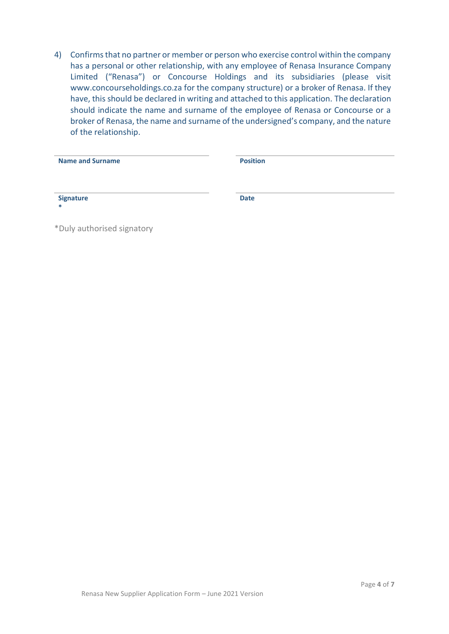4) Confirms that no partner or member or person who exercise control within the company has a personal or other relationship, with any employee of Renasa Insurance Company Limited ("Renasa") or Concourse Holdings and its subsidiaries (please visit [www.concourseholdings.co.za](http://www.concourseholdings.co.za/) for the company structure) or a broker of Renasa. If they have, this should be declared in writing and attached to this application. The declaration should indicate the name and surname of the employee of Renasa or Concourse or a broker of Renasa, the name and surname of the undersigned's company, and the nature of the relationship.

| <b>Name and Surname</b> | <b>Position</b> |
|-------------------------|-----------------|
| <b>Signature</b><br>*   | <b>Date</b>     |

\*Duly authorised signatory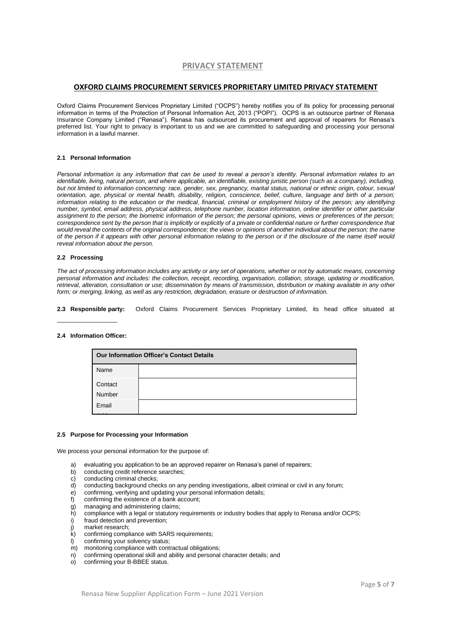## **PRIVACY STATEMENT**

### **OXFORD CLAIMS PROCUREMENT SERVICES PROPRIETARY LIMITED PRIVACY STATEMENT**

Oxford Claims Procurement Services Proprietary Limited ("OCPS") hereby notifies you of its policy for processing personal information in terms of the Protection of Personal Information Act, 2013 ("POPI"). OCPS is an outsource partner of Renasa Insurance Company Limited ("Renasa"). Renasa has outsourced its procurement and approval of repairers for Renasa's preferred list. Your right to privacy is important to us and we are committed to safeguarding and processing your personal information in a lawful manner.

#### **2.1 Personal Information**

*Personal information is any information that can be used to reveal a person's identity. Personal information relates to an identifiable, living, natural person, and where applicable, an identifiable, existing juristic person (such as a company), including, but not limited to information concerning: race, gender, sex, pregnancy, marital status, national or ethnic origin, colour, sexual orientation, age, physical or mental health, disability, religion, conscience, belief, culture, language and birth of a person; information relating to the education or the medical, financial, criminal or employment history of the person; any identifying number, symbol, email address, physical address, telephone number, location information, online identifier or other particular assignment to the person; the biometric information of the person; the personal opinions, views or preferences of the person; correspondence sent by the person that is implicitly or explicitly of a private or confidential nature or further correspondence that would reveal the contents of the original correspondence; the views or opinions of another individual about the person; the name of the person if it appears with other personal information relating to the person or if the disclosure of the name itself would reveal information about the person.*

#### **2.2 Processing**

*The act of processing information includes any activity or any set of operations, whether or not by automatic means, concerning personal information and includes: the collection, receipt, recording, organisation, collation, storage, updating or modification, retrieval, alteration, consultation or use; dissemination by means of transmission, distribution or making available in any other form; or merging, linking, as well as any restriction, degradation, erasure or destruction of information.*

**2.3 Responsible party:** Oxford Claims Procurement Services Proprietary Limited, its head office situated at

#### **2.4 Information Officer:**

 $\_$ 

| <b>Our Information Officer's Contact Details</b> |  |  |  |  |  |  |
|--------------------------------------------------|--|--|--|--|--|--|
| Name                                             |  |  |  |  |  |  |
| Contact<br>Number                                |  |  |  |  |  |  |
| Email                                            |  |  |  |  |  |  |

#### **2.5 Purpose for Processing your Information**

We process your personal information for the purpose of:

- a) evaluating you application to be an approved repairer on Renasa's panel of repairers;
- b) conducting credit reference searches;
- c) conducting criminal checks;
- d) conducting background checks on any pending investigations, albeit criminal or civil in any forum;
- e) confirming, verifying and updating your personal information details;
- f) confirming the existence of a bank account;
- g) managing and administering claims;
- h) compliance with a legal or statutory requirements or industry bodies that apply to Renasa and/or OCPS;<br>i) fraud detection and prevention:
- fraud detection and prevention;
- j) market research;
- k) confirming compliance with SARS requirements;
- l) confirming your solvency status;<br>m) monitoring compliance with cont
- monitoring compliance with contractual obligations;
- n) confirming operational skill and ability and personal character details; and
- o) confirming your B-BBEE status.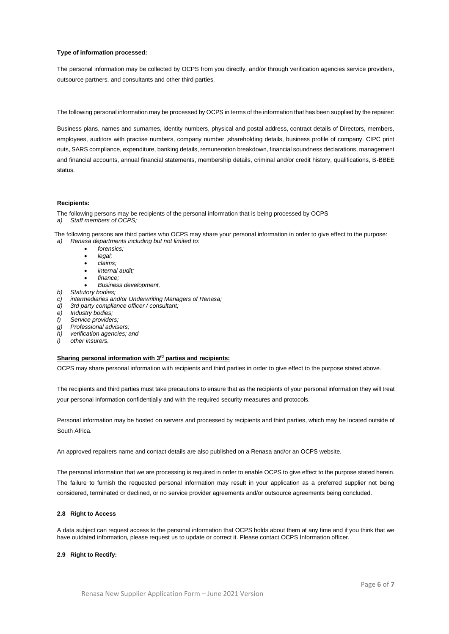#### **Type of information processed:**

The personal information may be collected by OCPS from you directly, and/or through verification agencies service providers, outsource partners, and consultants and other third parties.

The following personal information may be processed by OCPS in terms of the information that has been supplied by the repairer:

Business plans, names and surnames, identity numbers, physical and postal address, contract details of Directors, members, employees, auditors with practise numbers, company number ,shareholding details, business profile of company. CIPC print outs, SARS compliance, expenditure, banking details, remuneration breakdown, financial soundness declarations, management and financial accounts, annual financial statements, membership details, criminal and/or credit history, qualifications, B-BBEE status.

#### **Recipients:**

The following persons may be recipients of the personal information that is being processed by OCPS *a) Staff members of OCPS;*

The following persons are third parties who OCPS may share your personal information in order to give effect to the purpose: *a) Renasa departments including but not limited to:*

- *forensics;*
	- *legal;*
	- *claims;*
	- *internal audit;*
	- *finance;*
	- *Business development,*
- *b) Statutory bodies;*
- *c) intermediaries and/or Underwriting Managers of Renasa;*
- *d) 3rd party compliance officer / consultant;*
- *e) Industry bodies;*
- *f) Service providers;*
- *g) Professional advisers;*
- *h) verification agencies; and*
- *i) other insurers.*

# **Sharing personal information with 3rd parties and recipients:**

OCPS may share personal information with recipients and third parties in order to give effect to the purpose stated above.

The recipients and third parties must take precautions to ensure that as the recipients of your personal information they will treat your personal information confidentially and with the required security measures and protocols.

Personal information may be hosted on servers and processed by recipients and third parties, which may be located outside of South Africa.

An approved repairers name and contact details are also published on a Renasa and/or an OCPS website.

The personal information that we are processing is required in order to enable OCPS to give effect to the purpose stated herein. The failure to furnish the requested personal information may result in your application as a preferred supplier not being considered, terminated or declined, or no service provider agreements and/or outsource agreements being concluded.

### **2.8 Right to Access**

A data subject can request access to the personal information that OCPS holds about them at any time and if you think that we have outdated information, please request us to update or correct it. Please contact OCPS Information officer.

#### **2.9 Right to Rectify:**